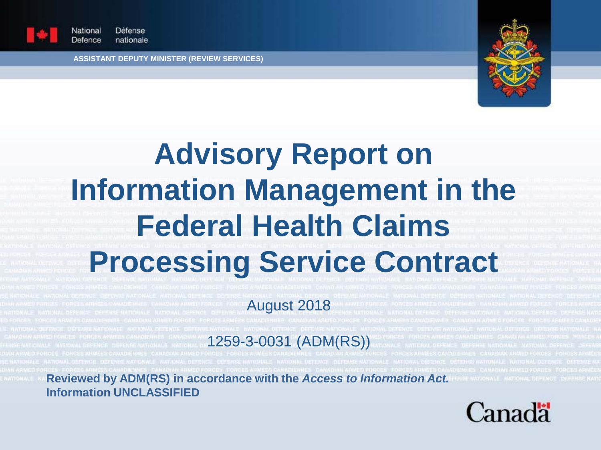

Défense Vational Defence nationale

**ASSISTANT DEPUTY MINISTER (REVIEW SERVICES)**



# **Advisory Report on Information Management in the Federal Health Claims Processing Service Contract**

August 2018

1259-3-0031 (ADM(RS))

**Reviewed by ADM(RS) in accordance with the** *Access to Information Act.*  **Information UNCLASSIFIED**

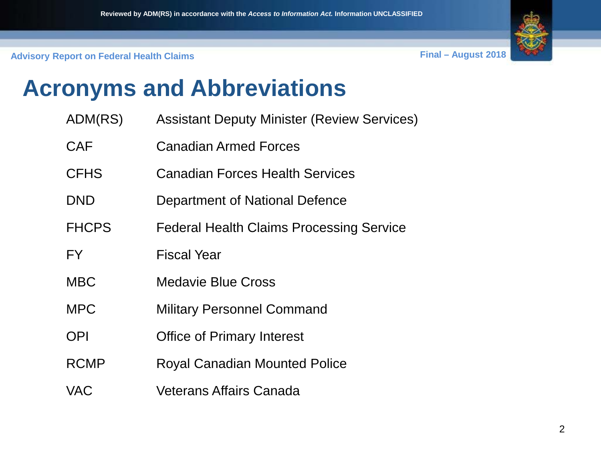

## **Acronyms and Abbreviations**

- ADM(RS) Assistant Deputy Minister (Review Services)
- CAF Canadian Armed Forces
- CFHS Canadian Forces Health Services
- DND Department of National Defence
- FHCPS Federal Health Claims Processing Service
- FY Fiscal Year
- MBC Medavie Blue Cross
- MPC Military Personnel Command
- OPI Office of Primary Interest
- RCMP Royal Canadian Mounted Police
- VAC Veterans Affairs Canada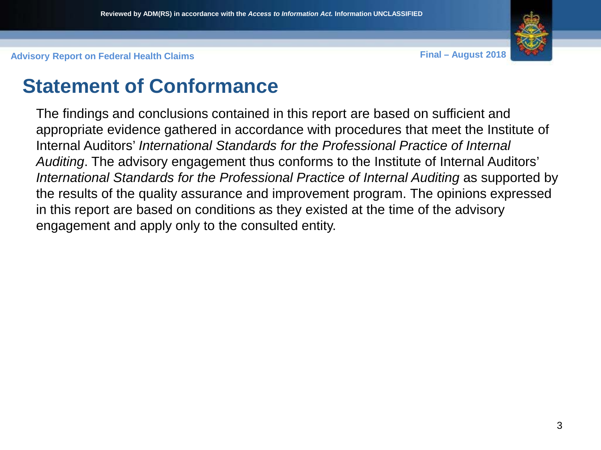

### **Statement of Conformance**

The findings and conclusions contained in this report are based on sufficient and appropriate evidence gathered in accordance with procedures that meet the Institute of Internal Auditors' *International Standards for the Professional Practice of Internal Auditing*. The advisory engagement thus conforms to the Institute of Internal Auditors' International Standards for the Professional Practice of Internal Auditing as supported by the results of the quality assurance and improvement program. The opinions expressed in this report are based on conditions as they existed at the time of the advisory engagement and apply only to the consulted entity.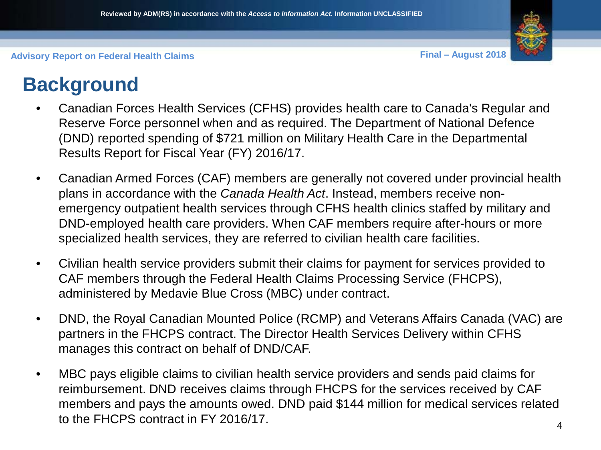

### **Background**

- Canadian Forces Health Services (CFHS) provides health care to Canada's Regular and Reserve Force personnel when and as required. The Department of National Defence (DND) reported spending of \$721 million on Military Health Care in the Departmental Results Report for Fiscal Year (FY) 2016/17.
- Canadian Armed Forces (CAF) members are generally not covered under provincial health plans in accordance with the *Canada Health Act*. Instead, members receive nonemergency outpatient health services through CFHS health clinics staffed by military and DND-employed health care providers. When CAF members require after-hours or more specialized health services, they are referred to civilian health care facilities.
- Civilian health service providers submit their claims for payment for services provided to CAF members through the Federal Health Claims Processing Service (FHCPS), administered by Medavie Blue Cross (MBC) under contract.
- DND, the Royal Canadian Mounted Police (RCMP) and Veterans Affairs Canada (VAC) are partners in the FHCPS contract. The Director Health Services Delivery within CFHS manages this contract on behalf of DND/CAF.
- MBC pays eligible claims to civilian health service providers and sends paid claims for reimbursement. DND receives claims through FHCPS for the services received by CAF members and pays the amounts owed. DND paid \$144 million for medical services related to the FHCPS contract in FY 2016/17.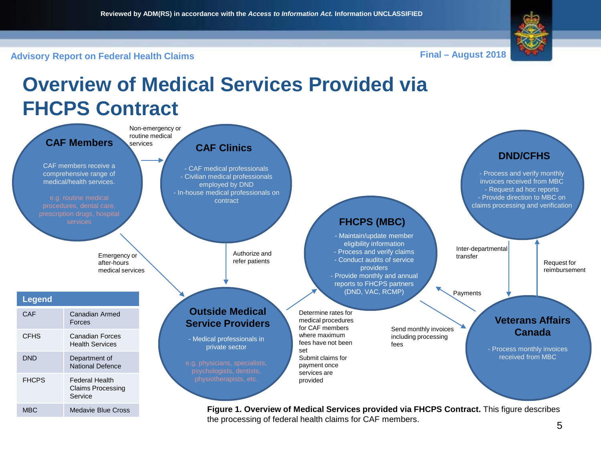**Overview of Medical Services Provided via** 



**Advisory Report on Federal Health Claims Final – August 2018**

#### **FHCPS Contract CAF Members** CAF members receive a comprehensive range of medical/health services. Non-emergency or routine medical services Determine rates for medical procedures for CAF members where maximum fees have not been set Submit claims for payment once services are provided Send monthly invoices including processing fees Request for reimbursement Inter-departmental Emergency or **Emergency or** transfer<br>
effer patients by the conduct audits of service transfer<br>
Emergency or **transfer** after-hours medical services - CAF medical professionals - Civilian medical professionals employed by DND - In-house medical professionals on contract **CAF Clinics** - Medical professionals in private sector **Outside Medical Service Providers** - Maintain/update member eligibility information - Process and verify claims providers - Provide monthly and annual reports to FHCPS partners (DND, VAC, RCMP) **FHCPS (MBC) Veterans Affairs Canada** - Process monthly invoices received from MBC Authorize and refer patients **DND/CFHS** - Process and verify monthly invoices received from MBC - Request ad hoc reports - Provide direction to MBC on claims processing and verification Payments **Legend** CAF Canadian Armed Forces CFHS Canadian Forces Health Services DND Department of National Defence FHCPS Federal Health Claims Processing **Service**

MBC Medavie Blue Cross **Figure 1. Overview of Medical Services provided via FHCPS Contract.** This figure describes the processing of federal health claims for CAF members.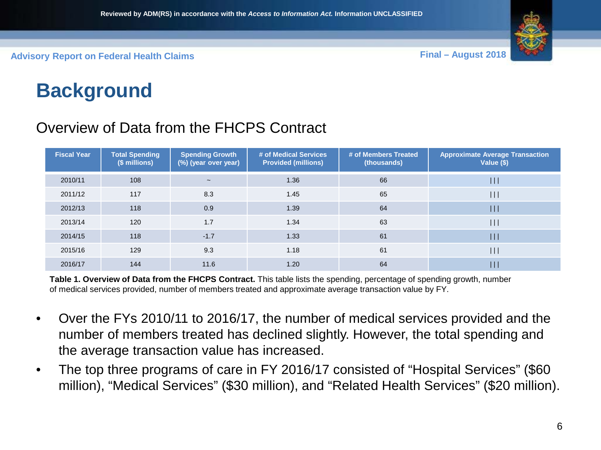

### **Background**

#### Overview of Data from the FHCPS Contract

| <b>Fiscal Year</b> | <b>Total Spending</b><br>$(S$ millions) | <b>Spending Growth</b><br>(%) (year over year) | # of Medical Services<br><b>Provided (millions)</b> | # of Members Treated<br>(thousands) | <b>Approximate Average Transaction</b><br>Value (\$) |
|--------------------|-----------------------------------------|------------------------------------------------|-----------------------------------------------------|-------------------------------------|------------------------------------------------------|
| 2010/11            | 108                                     | $\tilde{\phantom{a}}$                          | 1.36                                                | 66                                  | $\vert \vert \vert$                                  |
| 2011/12            | 117                                     | 8.3                                            | 1.45                                                | 65                                  | $\vert \vert \vert$                                  |
| 2012/13            | 118                                     | 0.9                                            | 1.39                                                | 64                                  | $\vert \vert \vert$                                  |
| 2013/14            | 120                                     | 1.7                                            | 1.34                                                | 63                                  | $\mathbf{1}$                                         |
| 2014/15            | 118                                     | $-1.7$                                         | 1.33                                                | 61                                  | $\vert \vert \vert$                                  |
| 2015/16            | 129                                     | 9.3                                            | 1.18                                                | 61                                  | $\mathbf{\mathbf{\mathsf{H}}}$                       |
| 2016/17            | 144                                     | 11.6                                           | 1.20                                                | 64                                  |                                                      |

**Table 1. Overview of Data from the FHCPS Contract.** This table lists the spending, percentage of spending growth, number of medical services provided, number of members treated and approximate average transaction value by FY.

- Over the FYs 2010/11 to 2016/17, the number of medical services provided and the number of members treated has declined slightly. However, the total spending and the average transaction value has increased.
- The top three programs of care in FY 2016/17 consisted of "Hospital Services" (\$60 million), "Medical Services" (\$30 million), and "Related Health Services" (\$20 million).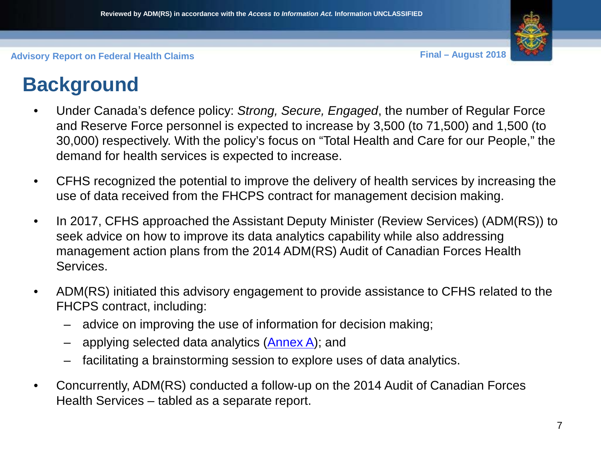

### **Background**

- Under Canada's defence policy: *Strong, Secure, Engaged*, the number of Regular Force and Reserve Force personnel is expected to increase by 3,500 (to 71,500) and 1,500 (to 30,000) respectively. With the policy's focus on "Total Health and Care for our People," the demand for health services is expected to increase.
- CFHS recognized the potential to improve the delivery of health services by increasing the use of data received from the FHCPS contract for management decision making.
- In 2017, CFHS approached the Assistant Deputy Minister (Review Services) (ADM(RS)) to seek advice on how to improve its data analytics capability while also addressing management action plans from the 2014 ADM(RS) Audit of Canadian Forces Health Services.
- ADM(RS) initiated this advisory engagement to provide assistance to CFHS related to the FHCPS contract, including:
	- advice on improving the use of information for decision making;
	- applying selected data analytics (**Annex A**); and
	- facilitating a brainstorming session to explore uses of data analytics.
- Concurrently, ADM(RS) conducted a follow-up on the 2014 Audit of Canadian Forces Health Services – tabled as a separate report.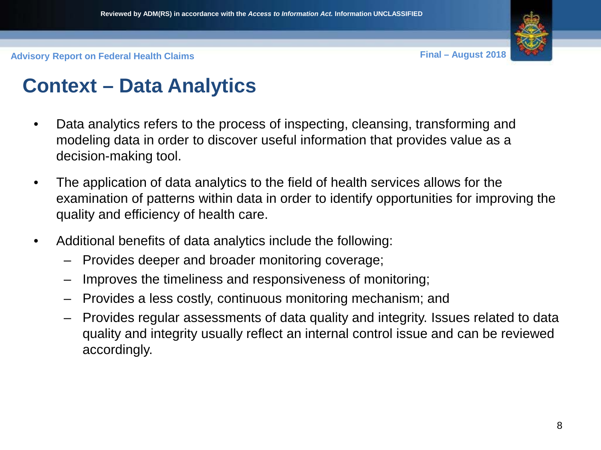

### **Context – Data Analytics**

- Data analytics refers to the process of inspecting, cleansing, transforming and modeling data in order to discover useful information that provides value as a decision-making tool.
- The application of data analytics to the field of health services allows for the examination of patterns within data in order to identify opportunities for improving the quality and efficiency of health care.
- Additional benefits of data analytics include the following:
	- Provides deeper and broader monitoring coverage;
	- Improves the timeliness and responsiveness of monitoring;
	- Provides a less costly, continuous monitoring mechanism; and
	- Provides regular assessments of data quality and integrity. Issues related to data quality and integrity usually reflect an internal control issue and can be reviewed accordingly.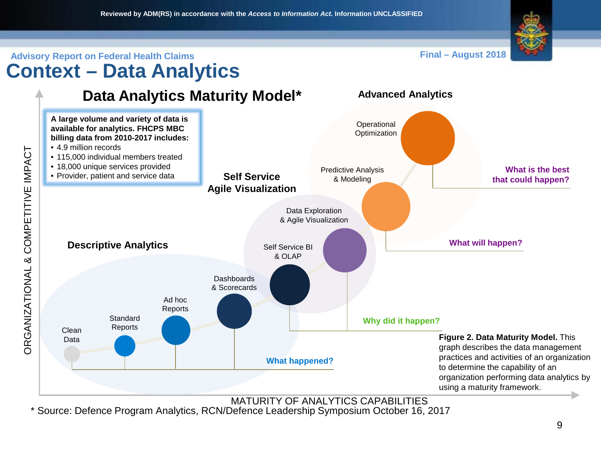

#### **Advisory Report on Federal Health Claims Final – August 2018 Context – Data Analytics**

**Advanced Analytics**





MATURITY OF ANALYTICS CAPABILITIES

\* Source: Defence Program Analytics, RCN/Defence Leadership Symposium October 16, 2017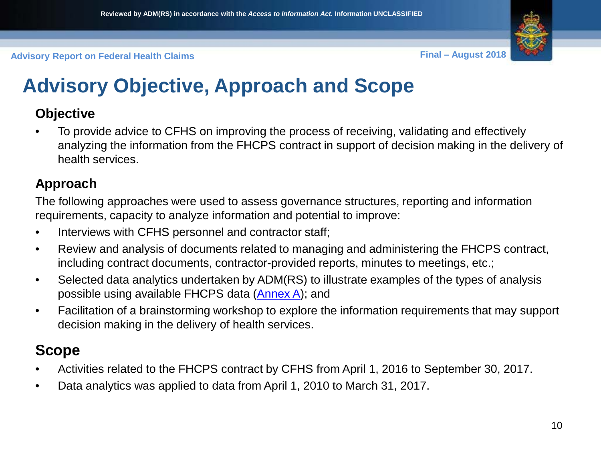

### **Advisory Objective, Approach and Scope**

#### **Objective**

• To provide advice to CFHS on improving the process of receiving, validating and effectively analyzing the information from the FHCPS contract in support of decision making in the delivery of health services.

#### **Approach**

The following approaches were used to assess governance structures, reporting and information requirements, capacity to analyze information and potential to improve:

- Interviews with CFHS personnel and contractor staff;
- Review and analysis of documents related to managing and administering the FHCPS contract, including contract documents, contractor-provided reports, minutes to meetings, etc.;
- Selected data analytics undertaken by ADM(RS) to illustrate examples of the types of analysis possible using available FHCPS data ([Annex A\)](#page-31-0); and
- Facilitation of a brainstorming workshop to explore the information requirements that may support decision making in the delivery of health services.

#### **Scope**

- Activities related to the FHCPS contract by CFHS from April 1, 2016 to September 30, 2017.
- Data analytics was applied to data from April 1, 2010 to March 31, 2017.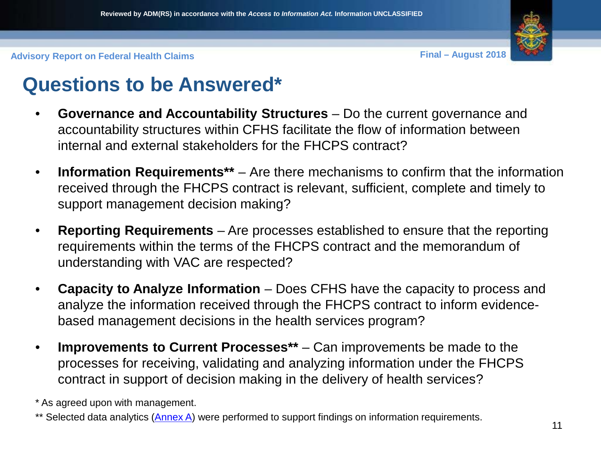

### **Questions to be Answered\***

- **Governance and Accountability Structures**  Do the current governance and accountability structures within CFHS facilitate the flow of information between internal and external stakeholders for the FHCPS contract?
- **Information Requirements\*\***  Are there mechanisms to confirm that the information received through the FHCPS contract is relevant, sufficient, complete and timely to support management decision making?
- **Reporting Requirements** Are processes established to ensure that the reporting requirements within the terms of the FHCPS contract and the memorandum of understanding with VAC are respected?
- **Capacity to Analyze Information**  Does CFHS have the capacity to process and analyze the information received through the FHCPS contract to inform evidencebased management decisions in the health services program?
- **Improvements to Current Processes\*\***  Can improvements be made to the processes for receiving, validating and analyzing information under the FHCPS contract in support of decision making in the delivery of health services?

\* As agreed upon with management.

\*\* Selected data analytics [\(Annex A](#page-31-0)) were performed to support findings on information requirements. 11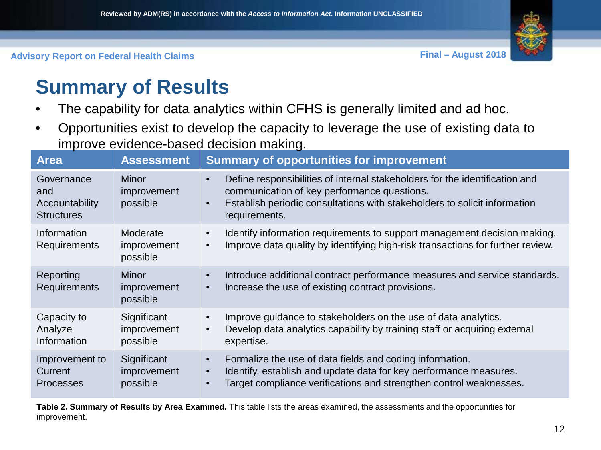

### **Summary of Results**

- The capability for data analytics within CFHS is generally limited and ad hoc.
- Opportunities exist to develop the capacity to leverage the use of existing data to improve evidence-based decision making.

| <b>Area</b>                                                     | <b>Assessment</b>                       | <b>Summary of opportunities for improvement</b>                                                                                                                                                                                                    |
|-----------------------------------------------------------------|-----------------------------------------|----------------------------------------------------------------------------------------------------------------------------------------------------------------------------------------------------------------------------------------------------|
| Governance<br>and<br><b>Accountability</b><br><b>Structures</b> | <b>Minor</b><br>improvement<br>possible | Define responsibilities of internal stakeholders for the identification and<br>$\bullet$<br>communication of key performance questions.<br>Establish periodic consultations with stakeholders to solicit information<br>$\bullet$<br>requirements. |
| Information<br>Requirements                                     | Moderate<br>improvement<br>possible     | Identify information requirements to support management decision making.<br>$\bullet$<br>Improve data quality by identifying high-risk transactions for further review.<br>$\bullet$                                                               |
| Reporting<br><b>Requirements</b>                                | Minor<br>improvement<br>possible        | Introduce additional contract performance measures and service standards.<br>$\bullet$<br>Increase the use of existing contract provisions.<br>$\bullet$                                                                                           |
| Capacity to<br>Analyze<br>Information                           | Significant<br>improvement<br>possible  | Improve guidance to stakeholders on the use of data analytics.<br>$\bullet$<br>Develop data analytics capability by training staff or acquiring external<br>$\bullet$<br>expertise.                                                                |
| Improvement to<br>Current<br><b>Processes</b>                   | Significant<br>improvement<br>possible  | Formalize the use of data fields and coding information.<br>$\bullet$<br>Identify, establish and update data for key performance measures.<br>$\bullet$<br>Target compliance verifications and strengthen control weaknesses.                      |

**Table 2. Summary of Results by Area Examined.** This table lists the areas examined, the assessments and the opportunities for improvement.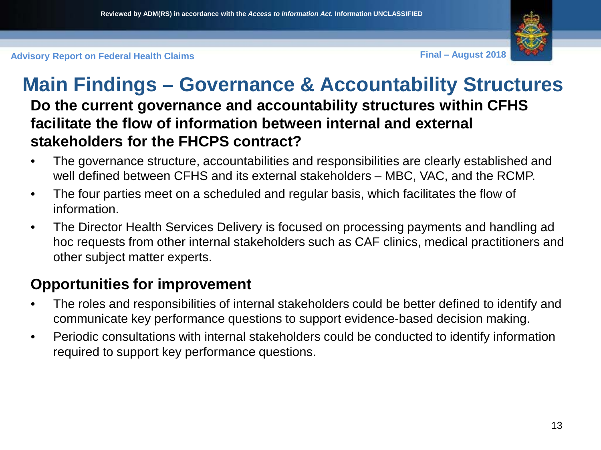

#### **Main Findings – Governance & Accountability Structures Do the current governance and accountability structures within CFHS facilitate the flow of information between internal and external stakeholders for the FHCPS contract?**

- The governance structure, accountabilities and responsibilities are clearly established and well defined between CFHS and its external stakeholders – MBC, VAC, and the RCMP.
- The four parties meet on a scheduled and regular basis, which facilitates the flow of information.
- The Director Health Services Delivery is focused on processing payments and handling ad hoc requests from other internal stakeholders such as CAF clinics, medical practitioners and other subject matter experts.

#### **Opportunities for improvement**

- The roles and responsibilities of internal stakeholders could be better defined to identify and communicate key performance questions to support evidence-based decision making.
- Periodic consultations with internal stakeholders could be conducted to identify information required to support key performance questions.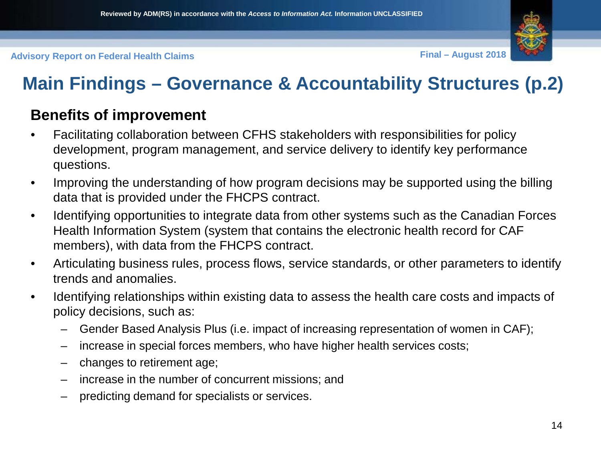### **Main Findings – Governance & Accountability Structures (p.2)**

#### **Benefits of improvement**

- Facilitating collaboration between CFHS stakeholders with responsibilities for policy development, program management, and service delivery to identify key performance questions.
- Improving the understanding of how program decisions may be supported using the billing data that is provided under the FHCPS contract.
- Identifying opportunities to integrate data from other systems such as the Canadian Forces Health Information System (system that contains the electronic health record for CAF members), with data from the FHCPS contract.
- Articulating business rules, process flows, service standards, or other parameters to identify trends and anomalies.
- Identifying relationships within existing data to assess the health care costs and impacts of policy decisions, such as:
	- Gender Based Analysis Plus (i.e. impact of increasing representation of women in CAF);
	- increase in special forces members, who have higher health services costs;
	- changes to retirement age;
	- increase in the number of concurrent missions; and
	- predicting demand for specialists or services.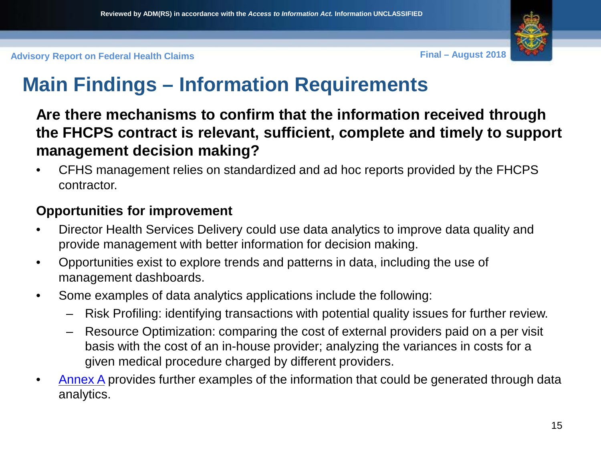### **Main Findings – Information Requirements**

**Are there mechanisms to confirm that the information received through the FHCPS contract is relevant, sufficient, complete and timely to support management decision making?**

• CFHS management relies on standardized and ad hoc reports provided by the FHCPS contractor.

#### **Opportunities for improvement**

- Director Health Services Delivery could use data analytics to improve data quality and provide management with better information for decision making.
- Opportunities exist to explore trends and patterns in data, including the use of management dashboards.
- Some examples of data analytics applications include the following:
	- Risk Profiling: identifying transactions with potential quality issues for further review.
	- Resource Optimization: comparing the cost of external providers paid on a per visit basis with the cost of an in-house provider; analyzing the variances in costs for a given medical procedure charged by different providers.
- [Annex A](#page-31-0) provides further examples of the information that could be generated through data analytics.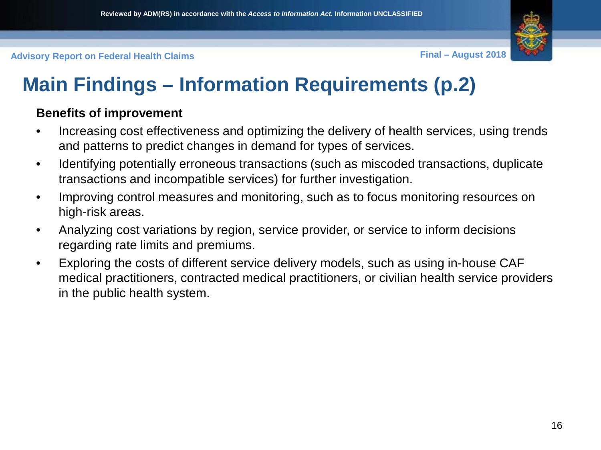

### **Main Findings – Information Requirements (p.2)**

#### **Benefits of improvement**

- Increasing cost effectiveness and optimizing the delivery of health services, using trends and patterns to predict changes in demand for types of services.
- Identifying potentially erroneous transactions (such as miscoded transactions, duplicate transactions and incompatible services) for further investigation.
- Improving control measures and monitoring, such as to focus monitoring resources on high-risk areas.
- Analyzing cost variations by region, service provider, or service to inform decisions regarding rate limits and premiums.
- Exploring the costs of different service delivery models, such as using in-house CAF medical practitioners, contracted medical practitioners, or civilian health service providers in the public health system.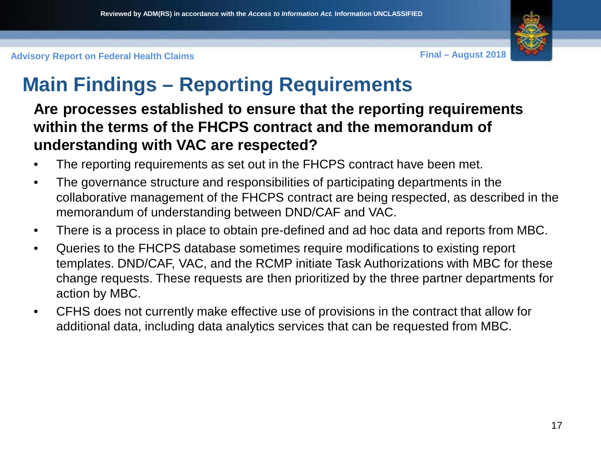

### **Main Findings – Reporting Requirements**

#### **Are processes established to ensure that the reporting requirements within the terms of the FHCPS contract and the memorandum of understanding with VAC are respected?**

- The reporting requirements as set out in the FHCPS contract have been met.
- The governance structure and responsibilities of participating departments in the collaborative management of the FHCPS contract are being respected, as described in the memorandum of understanding between DND/CAF and VAC.
- There is a process in place to obtain pre-defined and ad hoc data and reports from MBC.
- Queries to the FHCPS database sometimes require modifications to existing report templates. DND/CAF, VAC, and the RCMP initiate Task Authorizations with MBC for these change requests. These requests are then prioritized by the three partner departments for action by MBC.
- CFHS does not currently make effective use of provisions in the contract that allow for additional data, including data analytics services that can be requested from MBC.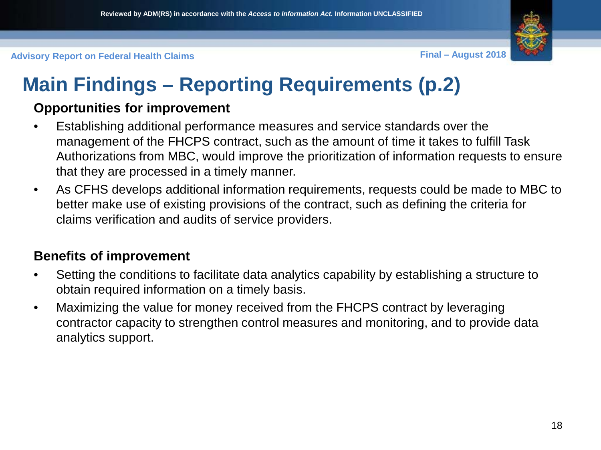

## **Main Findings – Reporting Requirements (p.2)**

#### **Opportunities for improvement**

- Establishing additional performance measures and service standards over the management of the FHCPS contract, such as the amount of time it takes to fulfill Task Authorizations from MBC, would improve the prioritization of information requests to ensure that they are processed in a timely manner.
- As CFHS develops additional information requirements, requests could be made to MBC to better make use of existing provisions of the contract, such as defining the criteria for claims verification and audits of service providers.

#### **Benefits of improvement**

- Setting the conditions to facilitate data analytics capability by establishing a structure to obtain required information on a timely basis.
- Maximizing the value for money received from the FHCPS contract by leveraging contractor capacity to strengthen control measures and monitoring, and to provide data analytics support.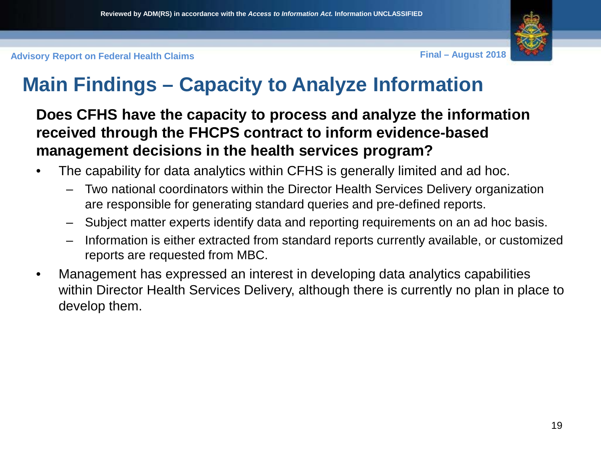

### **Main Findings – Capacity to Analyze Information**

**Does CFHS have the capacity to process and analyze the information received through the FHCPS contract to inform evidence-based management decisions in the health services program?**

- The capability for data analytics within CFHS is generally limited and ad hoc.
	- Two national coordinators within the Director Health Services Delivery organization are responsible for generating standard queries and pre-defined reports.
	- Subject matter experts identify data and reporting requirements on an ad hoc basis.
	- Information is either extracted from standard reports currently available, or customized reports are requested from MBC.
- Management has expressed an interest in developing data analytics capabilities within Director Health Services Delivery, although there is currently no plan in place to develop them.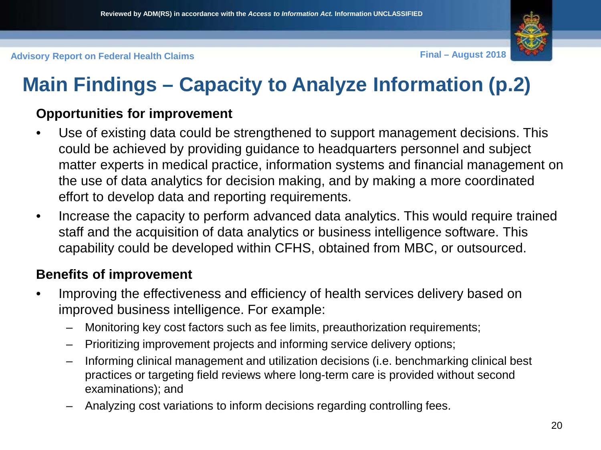

## **Main Findings – Capacity to Analyze Information (p.2)**

#### **Opportunities for improvement**

- Use of existing data could be strengthened to support management decisions. This could be achieved by providing guidance to headquarters personnel and subject matter experts in medical practice, information systems and financial management on the use of data analytics for decision making, and by making a more coordinated effort to develop data and reporting requirements.
- Increase the capacity to perform advanced data analytics. This would require trained staff and the acquisition of data analytics or business intelligence software. This capability could be developed within CFHS, obtained from MBC, or outsourced.

#### **Benefits of improvement**

- Improving the effectiveness and efficiency of health services delivery based on improved business intelligence. For example:
	- Monitoring key cost factors such as fee limits, preauthorization requirements;
	- Prioritizing improvement projects and informing service delivery options;
	- Informing clinical management and utilization decisions (i.e. benchmarking clinical best practices or targeting field reviews where long-term care is provided without second examinations); and
	- Analyzing cost variations to inform decisions regarding controlling fees.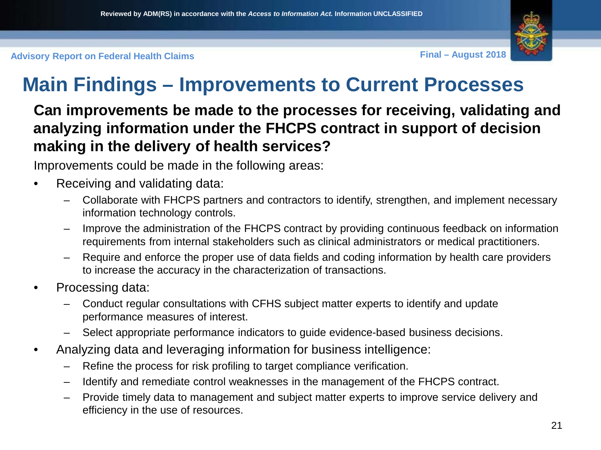

### **Main Findings – Improvements to Current Processes**

#### **Can improvements be made to the processes for receiving, validating and analyzing information under the FHCPS contract in support of decision making in the delivery of health services?**

Improvements could be made in the following areas:

- Receiving and validating data:
	- Collaborate with FHCPS partners and contractors to identify, strengthen, and implement necessary information technology controls.
	- Improve the administration of the FHCPS contract by providing continuous feedback on information requirements from internal stakeholders such as clinical administrators or medical practitioners.
	- Require and enforce the proper use of data fields and coding information by health care providers to increase the accuracy in the characterization of transactions.
- Processing data:
	- Conduct regular consultations with CFHS subject matter experts to identify and update performance measures of interest.
	- Select appropriate performance indicators to guide evidence-based business decisions.
- Analyzing data and leveraging information for business intelligence:
	- Refine the process for risk profiling to target compliance verification.
	- Identify and remediate control weaknesses in the management of the FHCPS contract.
	- Provide timely data to management and subject matter experts to improve service delivery and efficiency in the use of resources.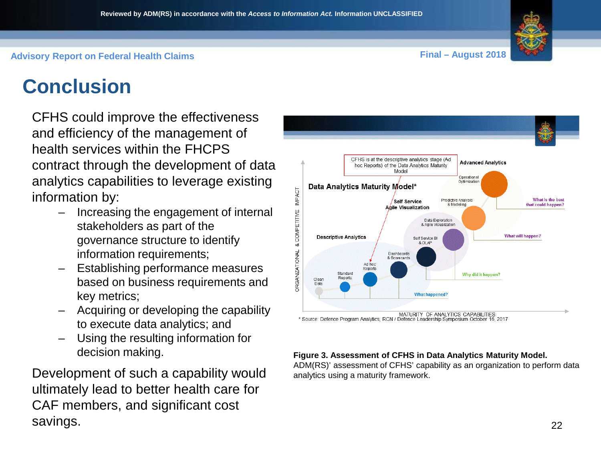### **Conclusion**

CFHS could improve the effectiveness and efficiency of the management of health services within the FHCPS contract through the development of data analytics capabilities to leverage existing information by:

- Increasing the engagement of internal stakeholders as part of the governance structure to identify information requirements;
- Establishing performance measures based on business requirements and key metrics;
- Acquiring or developing the capability to execute data analytics; and
- Using the resulting information for decision making.

Development of such a capability would ultimately lead to better health care for CAF members, and significant cost savings.



#### **Figure 3. Assessment of CFHS in Data Analytics Maturity Model.**

ADM(RS)' assessment of CFHS' capability as an organization to perform data analytics using a maturity framework.

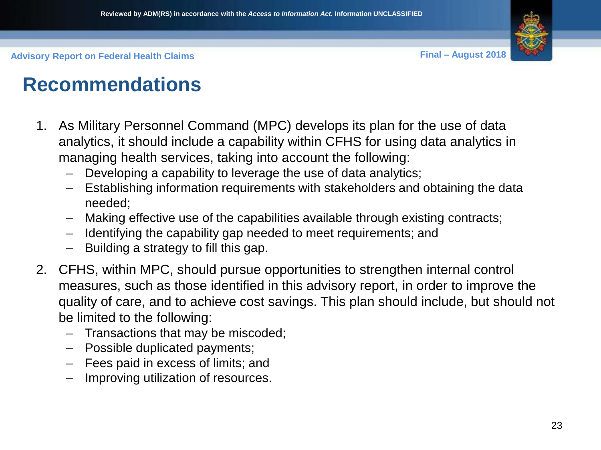

### **Recommendations**

- 1. As Military Personnel Command (MPC) develops its plan for the use of data analytics, it should include a capability within CFHS for using data analytics in managing health services, taking into account the following:
	- Developing a capability to leverage the use of data analytics;
	- Establishing information requirements with stakeholders and obtaining the data needed;
	- Making effective use of the capabilities available through existing contracts;
	- Identifying the capability gap needed to meet requirements; and
	- Building a strategy to fill this gap.
- 2. CFHS, within MPC, should pursue opportunities to strengthen internal control measures, such as those identified in this advisory report, in order to improve the quality of care, and to achieve cost savings. This plan should include, but should not be limited to the following:
	- Transactions that may be miscoded;
	- Possible duplicated payments;
	- Fees paid in excess of limits; and
	- Improving utilization of resources.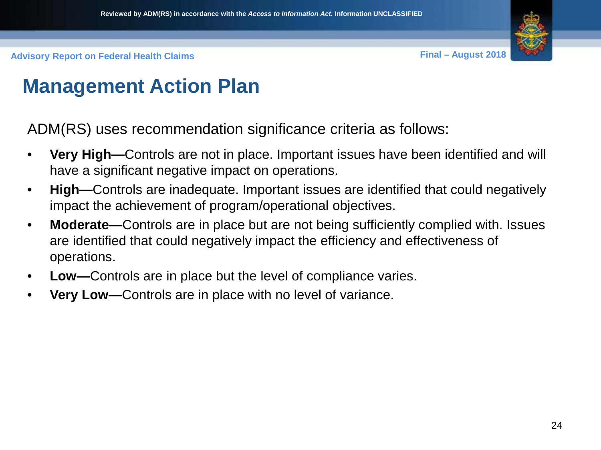

### **Management Action Plan**

ADM(RS) uses recommendation significance criteria as follows:

- **Very High—**Controls are not in place. Important issues have been identified and will have a significant negative impact on operations.
- **High—**Controls are inadequate. Important issues are identified that could negatively impact the achievement of program/operational objectives.
- **Moderate—**Controls are in place but are not being sufficiently complied with. Issues are identified that could negatively impact the efficiency and effectiveness of operations.
- **Low—**Controls are in place but the level of compliance varies.
- **Very Low—**Controls are in place with no level of variance.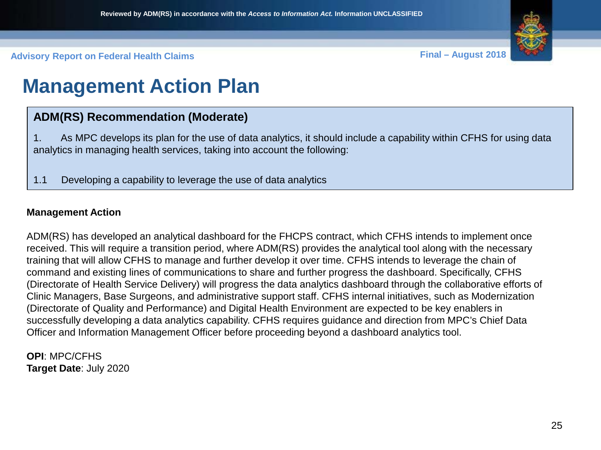

### **Management Action Plan**

#### **ADM(RS) Recommendation (Moderate)**

1. As MPC develops its plan for the use of data analytics, it should include a capability within CFHS for using data analytics in managing health services, taking into account the following:

1.1 Developing a capability to leverage the use of data analytics

#### **Management Action**

ADM(RS) has developed an analytical dashboard for the FHCPS contract, which CFHS intends to implement once received. This will require a transition period, where ADM(RS) provides the analytical tool along with the necessary training that will allow CFHS to manage and further develop it over time. CFHS intends to leverage the chain of command and existing lines of communications to share and further progress the dashboard. Specifically, CFHS (Directorate of Health Service Delivery) will progress the data analytics dashboard through the collaborative efforts of Clinic Managers, Base Surgeons, and administrative support staff. CFHS internal initiatives, such as Modernization (Directorate of Quality and Performance) and Digital Health Environment are expected to be key enablers in successfully developing a data analytics capability. CFHS requires guidance and direction from MPC's Chief Data Officer and Information Management Officer before proceeding beyond a dashboard analytics tool.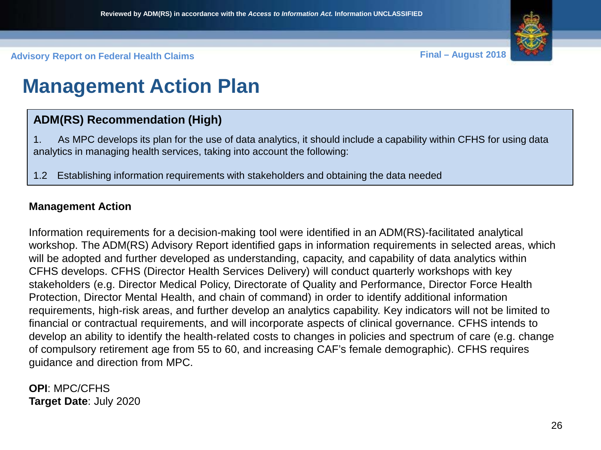

### **Management Action Plan**

#### **ADM(RS) Recommendation (High)**

1. As MPC develops its plan for the use of data analytics, it should include a capability within CFHS for using data analytics in managing health services, taking into account the following:

1.2 Establishing information requirements with stakeholders and obtaining the data needed

#### **Management Action**

Information requirements for a decision-making tool were identified in an ADM(RS)-facilitated analytical workshop. The ADM(RS) Advisory Report identified gaps in information requirements in selected areas, which will be adopted and further developed as understanding, capacity, and capability of data analytics within CFHS develops. CFHS (Director Health Services Delivery) will conduct quarterly workshops with key stakeholders (e.g. Director Medical Policy, Directorate of Quality and Performance, Director Force Health Protection, Director Mental Health, and chain of command) in order to identify additional information requirements, high-risk areas, and further develop an analytics capability. Key indicators will not be limited to financial or contractual requirements, and will incorporate aspects of clinical governance. CFHS intends to develop an ability to identify the health-related costs to changes in policies and spectrum of care (e.g. change of compulsory retirement age from 55 to 60, and increasing CAF's female demographic). CFHS requires guidance and direction from MPC.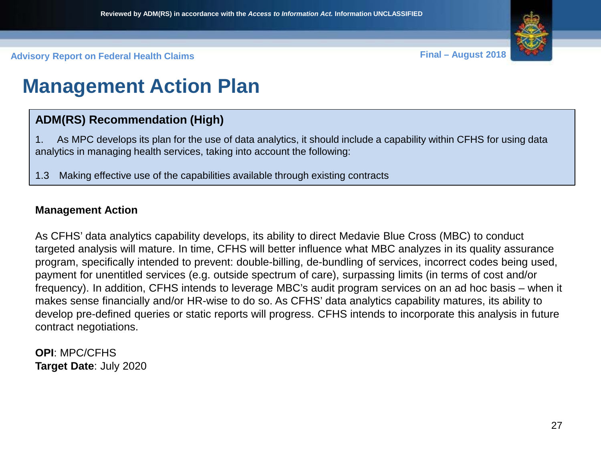

### **Management Action Plan**

#### **ADM(RS) Recommendation (High)**

1. As MPC develops its plan for the use of data analytics, it should include a capability within CFHS for using data analytics in managing health services, taking into account the following:

1.3 Making effective use of the capabilities available through existing contracts

#### **Management Action**

As CFHS' data analytics capability develops, its ability to direct Medavie Blue Cross (MBC) to conduct targeted analysis will mature. In time, CFHS will better influence what MBC analyzes in its quality assurance program, specifically intended to prevent: double-billing, de-bundling of services, incorrect codes being used, payment for unentitled services (e.g. outside spectrum of care), surpassing limits (in terms of cost and/or frequency). In addition, CFHS intends to leverage MBC's audit program services on an ad hoc basis – when it makes sense financially and/or HR-wise to do so. As CFHS' data analytics capability matures, its ability to develop pre-defined queries or static reports will progress. CFHS intends to incorporate this analysis in future contract negotiations.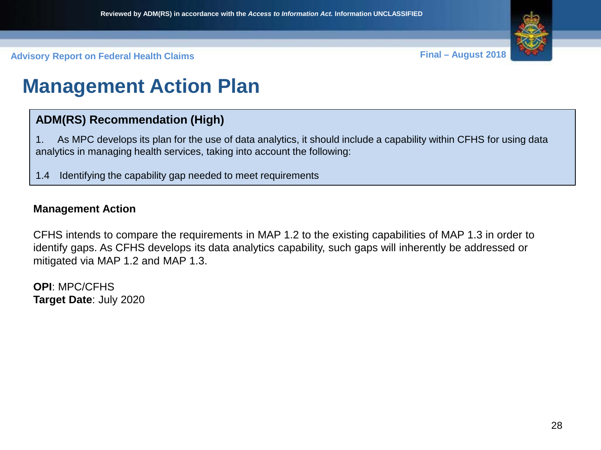

### **Management Action Plan**

#### **ADM(RS) Recommendation (High)**

1. As MPC develops its plan for the use of data analytics, it should include a capability within CFHS for using data analytics in managing health services, taking into account the following:

1.4 Identifying the capability gap needed to meet requirements

#### **Management Action**

CFHS intends to compare the requirements in MAP 1.2 to the existing capabilities of MAP 1.3 in order to identify gaps. As CFHS develops its data analytics capability, such gaps will inherently be addressed or mitigated via MAP 1.2 and MAP 1.3.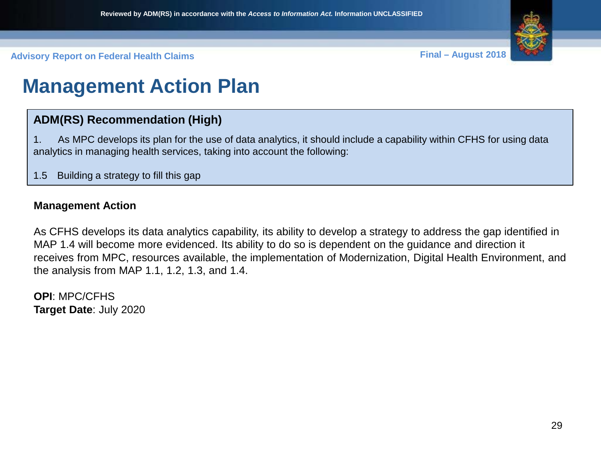

### **Management Action Plan**

#### **ADM(RS) Recommendation (High)**

1. As MPC develops its plan for the use of data analytics, it should include a capability within CFHS for using data analytics in managing health services, taking into account the following:

1.5 Building a strategy to fill this gap

#### **Management Action**

As CFHS develops its data analytics capability, its ability to develop a strategy to address the gap identified in MAP 1.4 will become more evidenced. Its ability to do so is dependent on the guidance and direction it receives from MPC, resources available, the implementation of Modernization, Digital Health Environment, and the analysis from MAP 1.1, 1.2, 1.3, and 1.4.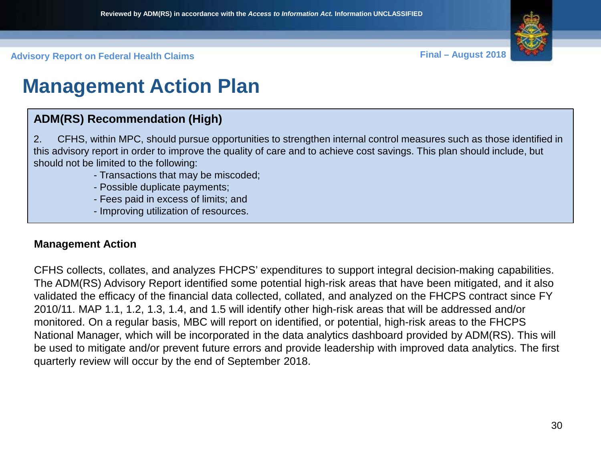

### **Management Action Plan**

#### **ADM(RS) Recommendation (High)**

2. CFHS, within MPC, should pursue opportunities to strengthen internal control measures such as those identified in this advisory report in order to improve the quality of care and to achieve cost savings. This plan should include, but should not be limited to the following:

- Transactions that may be miscoded;
- Possible duplicate payments;
- Fees paid in excess of limits; and
- Improving utilization of resources.

#### **Management Action**

CFHS collects, collates, and analyzes FHCPS' expenditures to support integral decision-making capabilities. The ADM(RS) Advisory Report identified some potential high-risk areas that have been mitigated, and it also validated the efficacy of the financial data collected, collated, and analyzed on the FHCPS contract since FY 2010/11. MAP 1.1, 1.2, 1.3, 1.4, and 1.5 will identify other high-risk areas that will be addressed and/or monitored. On a regular basis, MBC will report on identified, or potential, high-risk areas to the FHCPS National Manager, which will be incorporated in the data analytics dashboard provided by ADM(RS). This will be used to mitigate and/or prevent future errors and provide leadership with improved data analytics. The first quarterly review will occur by the end of September 2018.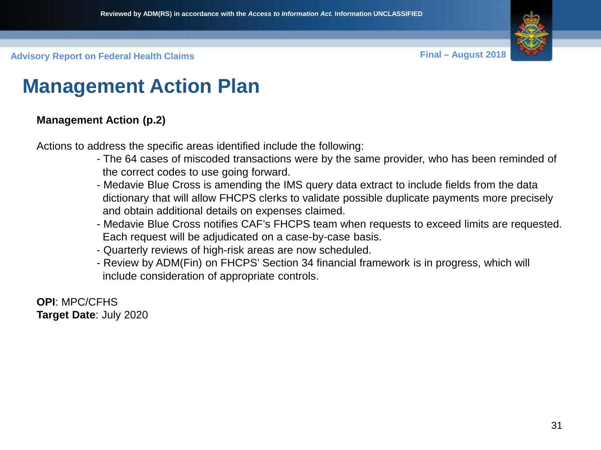

### **Management Action Plan**

#### **Management Action (p.2)**

Actions to address the specific areas identified include the following:

- The 64 cases of miscoded transactions were by the same provider, who has been reminded of the correct codes to use going forward.
- Medavie Blue Cross is amending the IMS query data extract to include fields from the data dictionary that will allow FHCPS clerks to validate possible duplicate payments more precisely and obtain additional details on expenses claimed.
- Medavie Blue Cross notifies CAF's FHCPS team when requests to exceed limits are requested. Each request will be adjudicated on a case-by-case basis.
- Quarterly reviews of high-risk areas are now scheduled.
- Review by ADM(Fin) on FHCPS' Section 34 financial framework is in progress, which will include consideration of appropriate controls.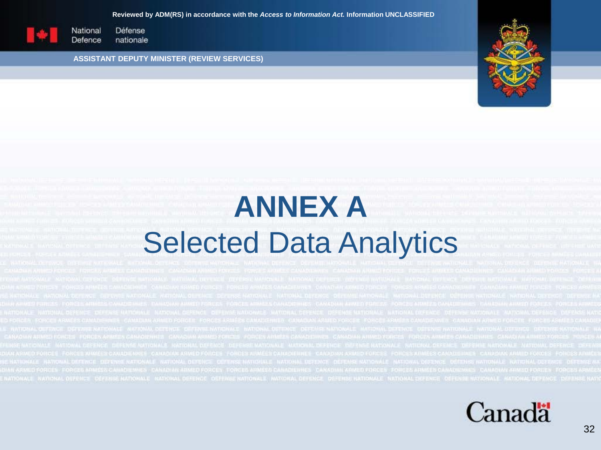#### **Reviewed by ADM(RS) in accordance with the** *Access to Information Act.* **Information UNCLASSIFIED**

<span id="page-31-0"></span>

Défense National Defence nationale

**ASSISTANT DEPUTY MINISTER (REVIEW SERVICES)**



# **ANNEX A** Selected Data Analytics

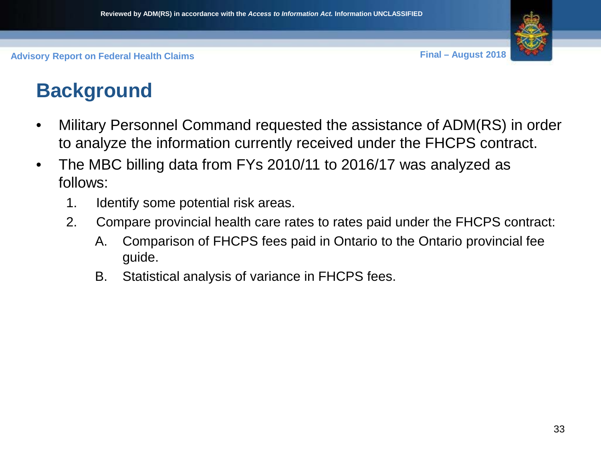

### **Background**

- Military Personnel Command requested the assistance of ADM(RS) in order to analyze the information currently received under the FHCPS contract.
- The MBC billing data from FYs 2010/11 to 2016/17 was analyzed as follows:
	- 1. Identify some potential risk areas.
	- 2. Compare provincial health care rates to rates paid under the FHCPS contract:
		- A. Comparison of FHCPS fees paid in Ontario to the Ontario provincial fee guide.
		- B. Statistical analysis of variance in FHCPS fees.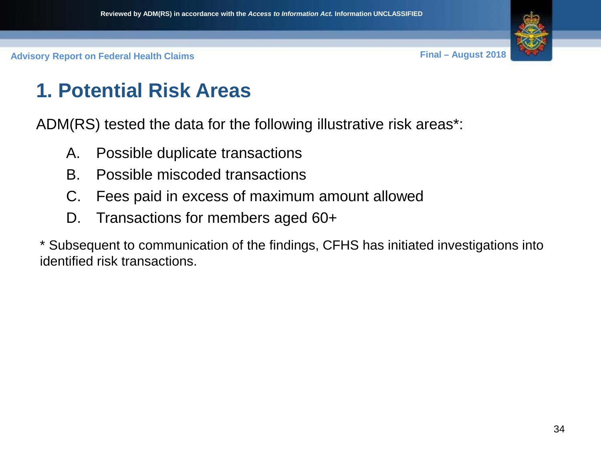

### **1. Potential Risk Areas**

ADM(RS) tested the data for the following illustrative risk areas\*:

- A. Possible duplicate transactions
- B. Possible miscoded transactions
- C. Fees paid in excess of maximum amount allowed
- D. Transactions for members aged 60+

\* Subsequent to communication of the findings, CFHS has initiated investigations into identified risk transactions.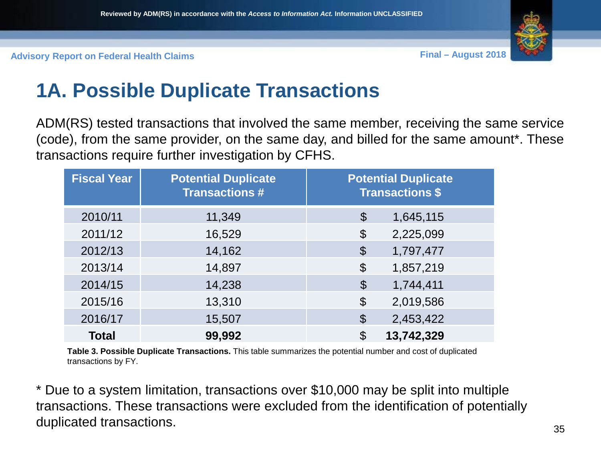

### **1A. Possible Duplicate Transactions**

ADM(RS) tested transactions that involved the same member, receiving the same service (code), from the same provider, on the same day, and billed for the same amount\*. These transactions require further investigation by CFHS.

| <b>Fiscal Year</b> | <b>Potential Duplicate</b><br><b>Transactions #</b> | <b>Potential Duplicate</b><br><b>Transactions \$</b> |
|--------------------|-----------------------------------------------------|------------------------------------------------------|
| 2010/11            | 11,349                                              | \$<br>1,645,115                                      |
| 2011/12            | 16,529                                              | 2,225,099<br>$\boldsymbol{\theta}$                   |
| 2012/13            | 14,162                                              | $\boldsymbol{\theta}$<br>1,797,477                   |
| 2013/14            | 14,897                                              | $\boldsymbol{\theta}$<br>1,857,219                   |
| 2014/15            | 14,238                                              | $\boldsymbol{\mathcal{S}}$<br>1,744,411              |
| 2015/16            | 13,310                                              | $\boldsymbol{\theta}$<br>2,019,586                   |
| 2016/17            | 15,507                                              | 2,453,422<br>$\boldsymbol{\theta}$                   |
| <b>Total</b>       | 99,992                                              | 13,742,329<br>\$                                     |

**Table 3. Possible Duplicate Transactions.** This table summarizes the potential number and cost of duplicated transactions by FY.

\* Due to a system limitation, transactions over \$10,000 may be split into multiple transactions. These transactions were excluded from the identification of potentially duplicated transactions.  $35$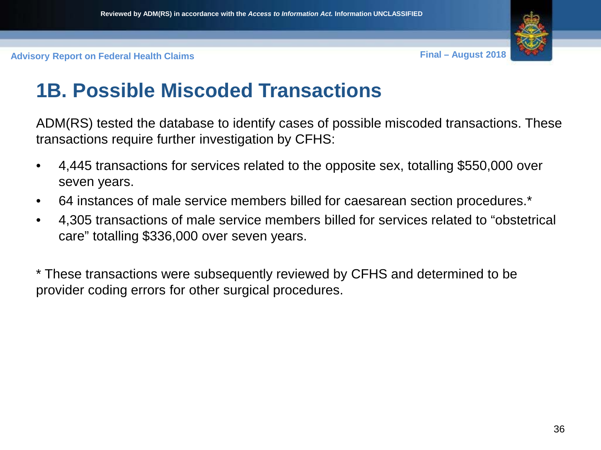

### **1B. Possible Miscoded Transactions**

ADM(RS) tested the database to identify cases of possible miscoded transactions. These transactions require further investigation by CFHS:

- 4,445 transactions for services related to the opposite sex, totalling \$550,000 over seven years.
- 64 instances of male service members billed for caesarean section procedures.\*
- 4,305 transactions of male service members billed for services related to "obstetrical care" totalling \$336,000 over seven years.

\* These transactions were subsequently reviewed by CFHS and determined to be provider coding errors for other surgical procedures.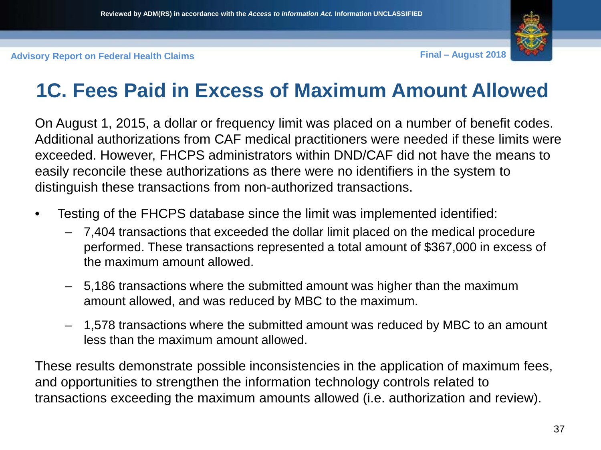

### **1C. Fees Paid in Excess of Maximum Amount Allowed**

On August 1, 2015, a dollar or frequency limit was placed on a number of benefit codes. Additional authorizations from CAF medical practitioners were needed if these limits were exceeded. However, FHCPS administrators within DND/CAF did not have the means to easily reconcile these authorizations as there were no identifiers in the system to distinguish these transactions from non-authorized transactions.

- Testing of the FHCPS database since the limit was implemented identified:
	- 7,404 transactions that exceeded the dollar limit placed on the medical procedure performed. These transactions represented a total amount of \$367,000 in excess of the maximum amount allowed.
	- 5,186 transactions where the submitted amount was higher than the maximum amount allowed, and was reduced by MBC to the maximum.
	- 1,578 transactions where the submitted amount was reduced by MBC to an amount less than the maximum amount allowed.

These results demonstrate possible inconsistencies in the application of maximum fees, and opportunities to strengthen the information technology controls related to transactions exceeding the maximum amounts allowed (i.e. authorization and review).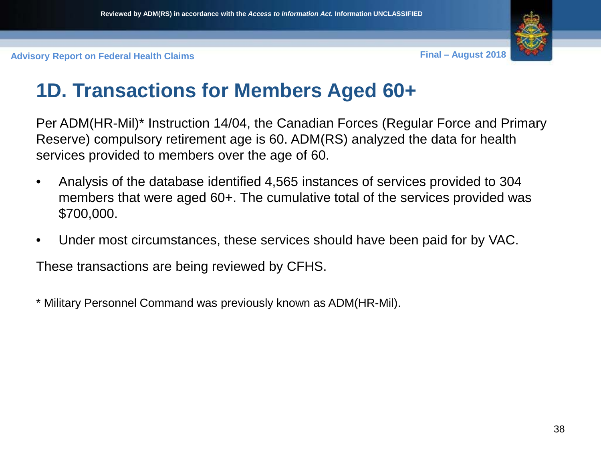

### **1D. Transactions for Members Aged 60+**

Per ADM(HR-Mil)\* Instruction 14/04, the Canadian Forces (Regular Force and Primary Reserve) compulsory retirement age is 60. ADM(RS) analyzed the data for health services provided to members over the age of 60.

- Analysis of the database identified 4,565 instances of services provided to 304 members that were aged 60+. The cumulative total of the services provided was \$700,000.
- Under most circumstances, these services should have been paid for by VAC.

These transactions are being reviewed by CFHS.

\* Military Personnel Command was previously known as ADM(HR-Mil).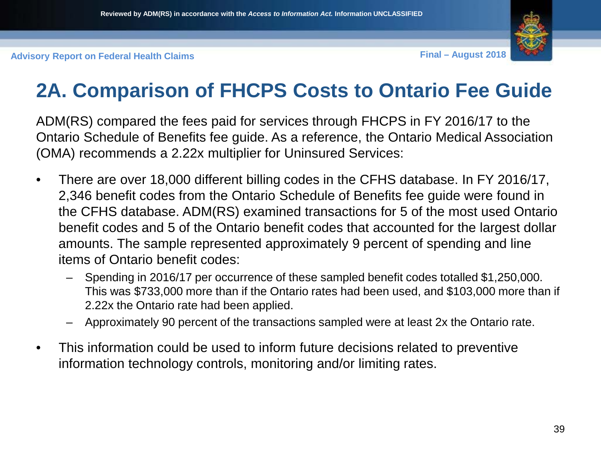

### **2A. Comparison of FHCPS Costs to Ontario Fee Guide**

ADM(RS) compared the fees paid for services through FHCPS in FY 2016/17 to the Ontario Schedule of Benefits fee guide. As a reference, the Ontario Medical Association (OMA) recommends a 2.22x multiplier for Uninsured Services:

- There are over 18,000 different billing codes in the CFHS database. In FY 2016/17, 2,346 benefit codes from the Ontario Schedule of Benefits fee guide were found in the CFHS database. ADM(RS) examined transactions for 5 of the most used Ontario benefit codes and 5 of the Ontario benefit codes that accounted for the largest dollar amounts. The sample represented approximately 9 percent of spending and line items of Ontario benefit codes:
	- Spending in 2016/17 per occurrence of these sampled benefit codes totalled \$1,250,000. This was \$733,000 more than if the Ontario rates had been used, and \$103,000 more than if 2.22x the Ontario rate had been applied.
	- Approximately 90 percent of the transactions sampled were at least 2x the Ontario rate.
- This information could be used to inform future decisions related to preventive information technology controls, monitoring and/or limiting rates.